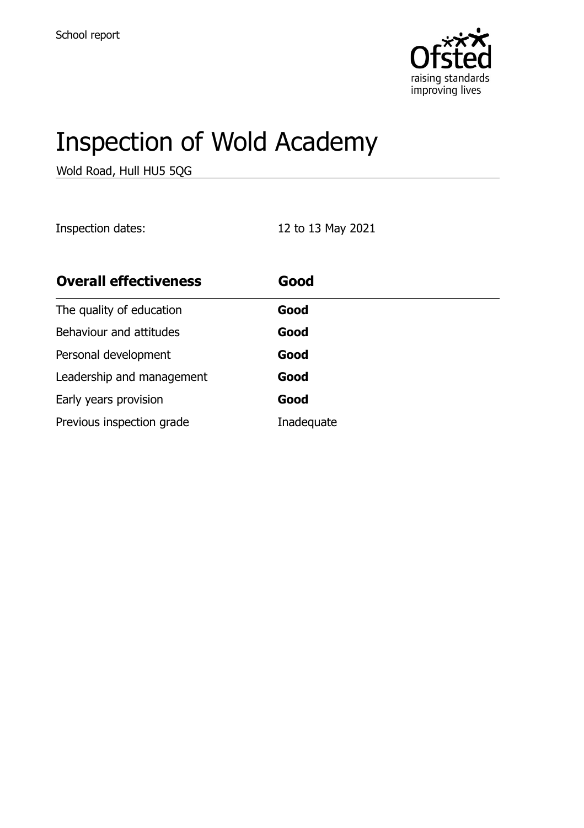

# Inspection of Wold Academy

Wold Road, Hull HU5 5QG

Inspection dates: 12 to 13 May 2021

| <b>Overall effectiveness</b> | Good       |
|------------------------------|------------|
| The quality of education     | Good       |
| Behaviour and attitudes      | Good       |
| Personal development         | Good       |
| Leadership and management    | Good       |
| Early years provision        | Good       |
| Previous inspection grade    | Inadequate |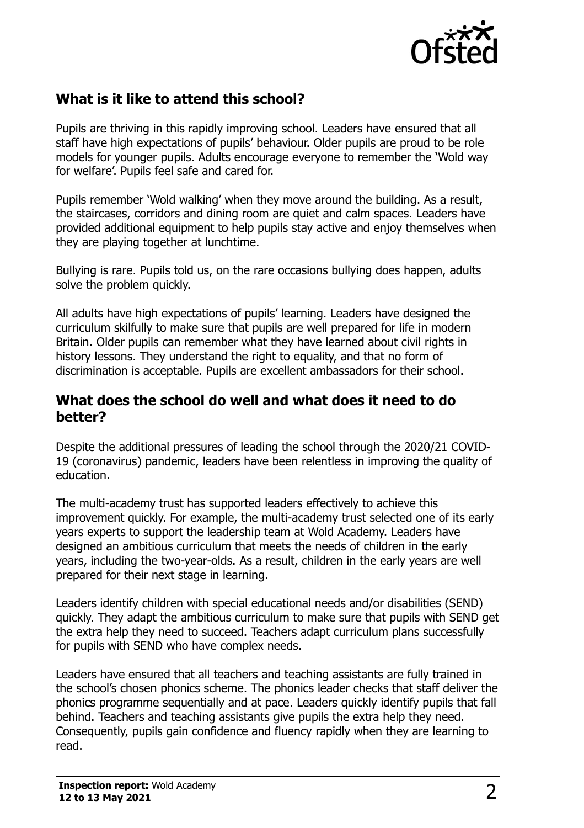

## **What is it like to attend this school?**

Pupils are thriving in this rapidly improving school. Leaders have ensured that all staff have high expectations of pupils' behaviour. Older pupils are proud to be role models for younger pupils. Adults encourage everyone to remember the 'Wold way for welfare'. Pupils feel safe and cared for.

Pupils remember 'Wold walking' when they move around the building. As a result, the staircases, corridors and dining room are quiet and calm spaces. Leaders have provided additional equipment to help pupils stay active and enjoy themselves when they are playing together at lunchtime.

Bullying is rare. Pupils told us, on the rare occasions bullying does happen, adults solve the problem quickly.

All adults have high expectations of pupils' learning. Leaders have designed the curriculum skilfully to make sure that pupils are well prepared for life in modern Britain. Older pupils can remember what they have learned about civil rights in history lessons. They understand the right to equality, and that no form of discrimination is acceptable. Pupils are excellent ambassadors for their school.

#### **What does the school do well and what does it need to do better?**

Despite the additional pressures of leading the school through the 2020/21 COVID-19 (coronavirus) pandemic, leaders have been relentless in improving the quality of education.

The multi-academy trust has supported leaders effectively to achieve this improvement quickly. For example, the multi-academy trust selected one of its early years experts to support the leadership team at Wold Academy. Leaders have designed an ambitious curriculum that meets the needs of children in the early years, including the two-year-olds. As a result, children in the early years are well prepared for their next stage in learning.

Leaders identify children with special educational needs and/or disabilities (SEND) quickly. They adapt the ambitious curriculum to make sure that pupils with SEND get the extra help they need to succeed. Teachers adapt curriculum plans successfully for pupils with SEND who have complex needs.

Leaders have ensured that all teachers and teaching assistants are fully trained in the school's chosen phonics scheme. The phonics leader checks that staff deliver the phonics programme sequentially and at pace. Leaders quickly identify pupils that fall behind. Teachers and teaching assistants give pupils the extra help they need. Consequently, pupils gain confidence and fluency rapidly when they are learning to read.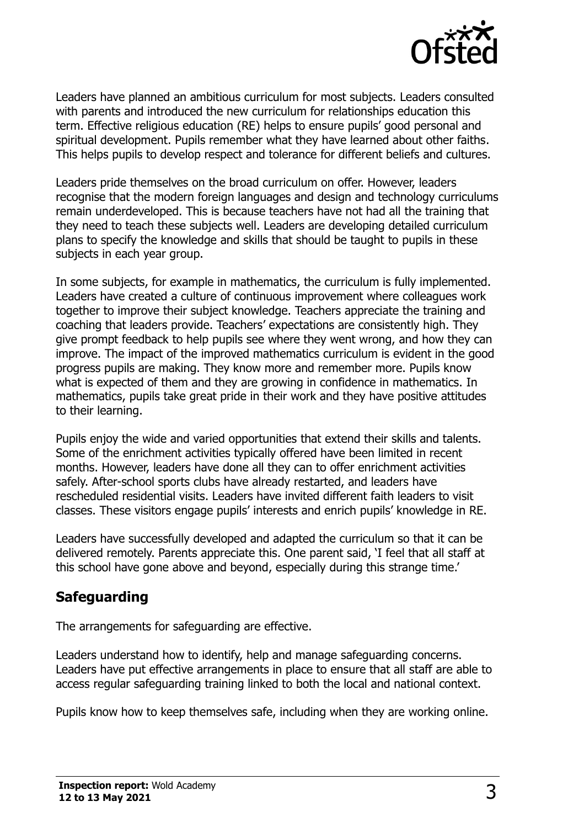

Leaders have planned an ambitious curriculum for most subjects. Leaders consulted with parents and introduced the new curriculum for relationships education this term. Effective religious education (RE) helps to ensure pupils' good personal and spiritual development. Pupils remember what they have learned about other faiths. This helps pupils to develop respect and tolerance for different beliefs and cultures.

Leaders pride themselves on the broad curriculum on offer. However, leaders recognise that the modern foreign languages and design and technology curriculums remain underdeveloped. This is because teachers have not had all the training that they need to teach these subjects well. Leaders are developing detailed curriculum plans to specify the knowledge and skills that should be taught to pupils in these subjects in each year group.

In some subjects, for example in mathematics, the curriculum is fully implemented. Leaders have created a culture of continuous improvement where colleagues work together to improve their subject knowledge. Teachers appreciate the training and coaching that leaders provide. Teachers' expectations are consistently high. They give prompt feedback to help pupils see where they went wrong, and how they can improve. The impact of the improved mathematics curriculum is evident in the good progress pupils are making. They know more and remember more. Pupils know what is expected of them and they are growing in confidence in mathematics. In mathematics, pupils take great pride in their work and they have positive attitudes to their learning.

Pupils enjoy the wide and varied opportunities that extend their skills and talents. Some of the enrichment activities typically offered have been limited in recent months. However, leaders have done all they can to offer enrichment activities safely. After-school sports clubs have already restarted, and leaders have rescheduled residential visits. Leaders have invited different faith leaders to visit classes. These visitors engage pupils' interests and enrich pupils' knowledge in RE.

Leaders have successfully developed and adapted the curriculum so that it can be delivered remotely. Parents appreciate this. One parent said, 'I feel that all staff at this school have gone above and beyond, especially during this strange time.'

## **Safeguarding**

The arrangements for safeguarding are effective.

Leaders understand how to identify, help and manage safeguarding concerns. Leaders have put effective arrangements in place to ensure that all staff are able to access regular safeguarding training linked to both the local and national context.

Pupils know how to keep themselves safe, including when they are working online.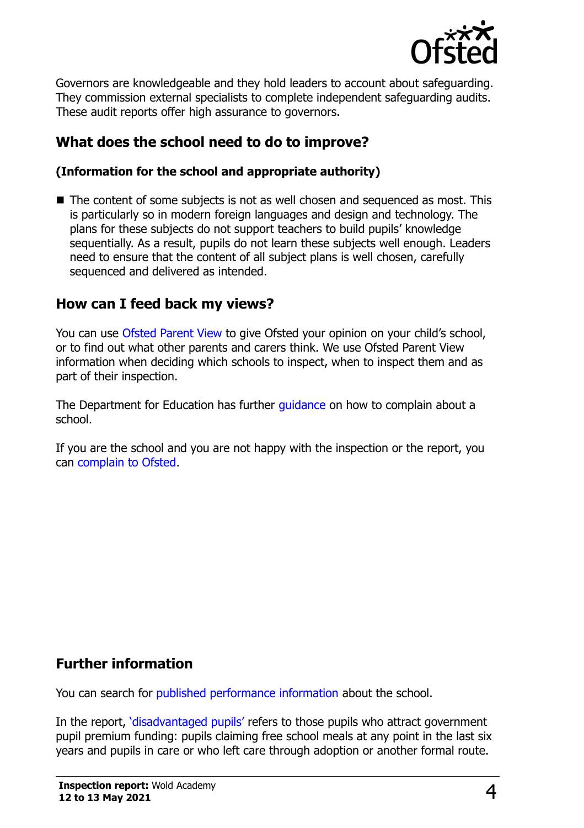

Governors are knowledgeable and they hold leaders to account about safeguarding. They commission external specialists to complete independent safeguarding audits. These audit reports offer high assurance to governors.

## **What does the school need to do to improve?**

#### **(Information for the school and appropriate authority)**

■ The content of some subjects is not as well chosen and sequenced as most. This is particularly so in modern foreign languages and design and technology. The plans for these subjects do not support teachers to build pupils' knowledge sequentially. As a result, pupils do not learn these subjects well enough. Leaders need to ensure that the content of all subject plans is well chosen, carefully sequenced and delivered as intended.

#### **How can I feed back my views?**

You can use [Ofsted Parent View](http://parentview.ofsted.gov.uk/) to give Ofsted your opinion on your child's school, or to find out what other parents and carers think. We use Ofsted Parent View information when deciding which schools to inspect, when to inspect them and as part of their inspection.

The Department for Education has further quidance on how to complain about a school.

If you are the school and you are not happy with the inspection or the report, you can [complain to Ofsted.](http://www.gov.uk/complain-ofsted-report)

### **Further information**

You can search for [published performance information](http://www.compare-school-performance.service.gov.uk/) about the school.

In the report, '[disadvantaged pupils](http://www.gov.uk/guidance/pupil-premium-information-for-schools-and-alternative-provision-settings)' refers to those pupils who attract government pupil premium funding: pupils claiming free school meals at any point in the last six years and pupils in care or who left care through adoption or another formal route.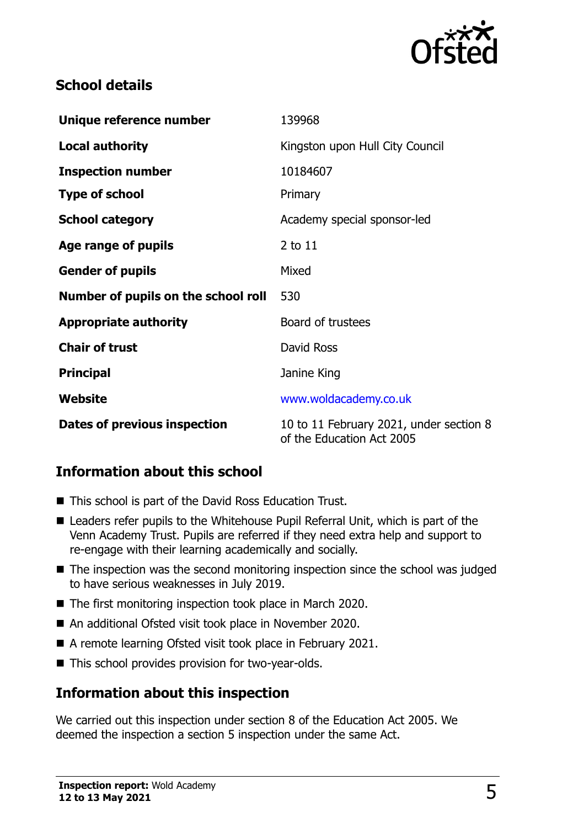

## **School details**

| Unique reference number             | 139968                                                               |  |
|-------------------------------------|----------------------------------------------------------------------|--|
| <b>Local authority</b>              | Kingston upon Hull City Council                                      |  |
| <b>Inspection number</b>            | 10184607                                                             |  |
| <b>Type of school</b>               | Primary                                                              |  |
| <b>School category</b>              | Academy special sponsor-led                                          |  |
| Age range of pupils                 | $2$ to $11$                                                          |  |
| <b>Gender of pupils</b>             | Mixed                                                                |  |
| Number of pupils on the school roll | 530                                                                  |  |
| <b>Appropriate authority</b>        | Board of trustees                                                    |  |
| <b>Chair of trust</b>               | David Ross                                                           |  |
| <b>Principal</b>                    | Janine King                                                          |  |
| <b>Website</b>                      | www.woldacademy.co.uk                                                |  |
| <b>Dates of previous inspection</b> | 10 to 11 February 2021, under section 8<br>of the Education Act 2005 |  |

## **Information about this school**

- This school is part of the David Ross Education Trust.
- Leaders refer pupils to the Whitehouse Pupil Referral Unit, which is part of the Venn Academy Trust. Pupils are referred if they need extra help and support to re-engage with their learning academically and socially.
- The inspection was the second monitoring inspection since the school was judged to have serious weaknesses in July 2019.
- The first monitoring inspection took place in March 2020.
- An additional Ofsted visit took place in November 2020.
- A remote learning Ofsted visit took place in February 2021.
- This school provides provision for two-year-olds.

#### **Information about this inspection**

We carried out this inspection under section 8 of the Education Act 2005. We deemed the inspection a section 5 inspection under the same Act.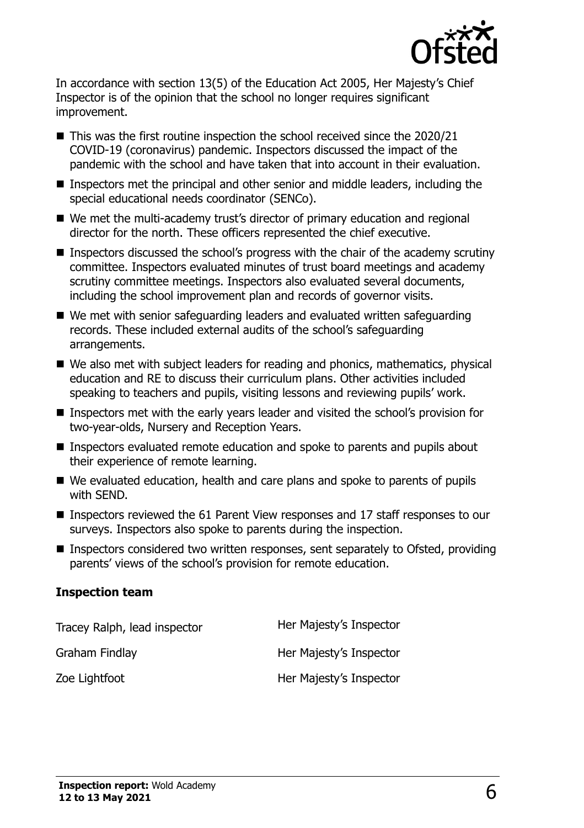

In accordance with section 13(5) of the Education Act 2005, Her Majesty's Chief Inspector is of the opinion that the school no longer requires significant improvement.

- This was the first routine inspection the school received since the 2020/21 COVID-19 (coronavirus) pandemic. Inspectors discussed the impact of the pandemic with the school and have taken that into account in their evaluation.
- Inspectors met the principal and other senior and middle leaders, including the special educational needs coordinator (SENCo).
- We met the multi-academy trust's director of primary education and regional director for the north. These officers represented the chief executive.
- **Inspectors discussed the school's progress with the chair of the academy scrutiny** committee. Inspectors evaluated minutes of trust board meetings and academy scrutiny committee meetings. Inspectors also evaluated several documents, including the school improvement plan and records of governor visits.
- We met with senior safeguarding leaders and evaluated written safeguarding records. These included external audits of the school's safeguarding arrangements.
- We also met with subject leaders for reading and phonics, mathematics, physical education and RE to discuss their curriculum plans. Other activities included speaking to teachers and pupils, visiting lessons and reviewing pupils' work.
- Inspectors met with the early years leader and visited the school's provision for two-year-olds, Nursery and Reception Years.
- **Inspectors evaluated remote education and spoke to parents and pupils about** their experience of remote learning.
- We evaluated education, health and care plans and spoke to parents of pupils with SEND.
- Inspectors reviewed the 61 Parent View responses and 17 staff responses to our surveys. Inspectors also spoke to parents during the inspection.
- Inspectors considered two written responses, sent separately to Ofsted, providing parents' views of the school's provision for remote education.

#### **Inspection team**

| Tracey Ralph, lead inspector | Her Majesty's Inspector |
|------------------------------|-------------------------|
| Graham Findlay               | Her Majesty's Inspector |
| Zoe Lightfoot                | Her Majesty's Inspector |